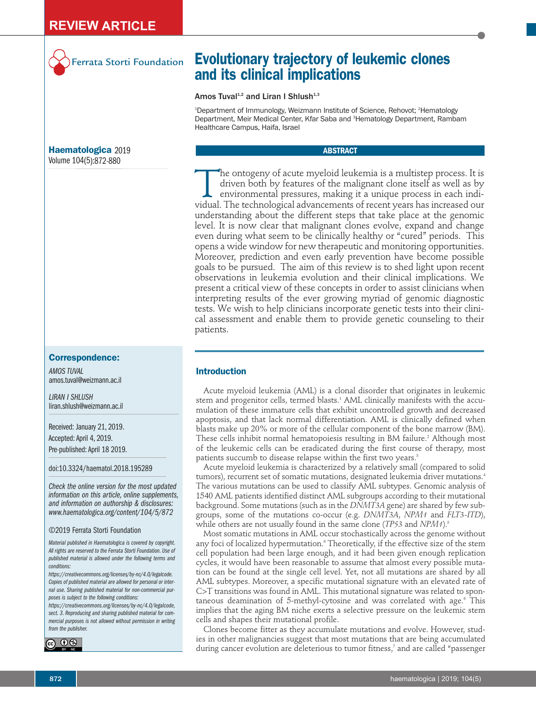

Ferrata Storti Foundation

# **Haematologica** 2019 Volume 104(5):872-880

# **Correspondence:**

*AMOS TUVAL* amos.tuval@weizmann.ac.il

*LIRAN I SHLUSH* liran.shlush@weizmann.ac.il

Received: January 21, 2019. Accepted: April 4, 2019. Pre-published: April 18 2019.

doi:10.3324/haematol.2018.195289

*Check the online version for the most updated information on this article, online supplements, and information on authorship & disclosures: www.haematologica.org/content/104/5/872*

#### ©2019 Ferrata Storti Foundation

*Material published in Haematologica is covered by copyright. All rights are reserved to the Ferrata Storti Foundation. Use of published material is allowed under the following terms and conditions:* 

*https://creativecommons.org/licenses/by-nc/4.0/legalcode. Copies of published material are allowed for personal or internal use. Sharing published material for non-commercial purposes is subject to the following conditions:* 

*https://creativecommons.org/licenses/by-nc/4.0/legalcode, sect. 3. Reproducing and sharing published material for commercial purposes is not allowed without permission in writing from the publisher.*



# **Evolutionary trajectory of leukemic clones and its clinical implications**

# Amos Tuval<sup>1,2</sup> and Liran I Shlush<sup>1,3</sup>

<sup>1</sup>Department of Immunology, Weizmann Institute of Science, Rehovot; <sup>2</sup>Hematology Department, Meir Medical Center, Kfar Saba and <sup>3</sup>Hematology Department, Rambam Healthcare Campus, Haifa, Israel

# **ABSTRACT**

The ontogeny of acute myeloid leukemia is a multistep process. It is<br>driven both by features of the malignant clone itself as well as by<br>environmental pressures, making it a unique process in each indi-<br>vidual. The technol driven both by features of the malignant clone itself as well as by environmental pressures, making it a unique process in each individual. The technological advancements of recent years has increased our understanding about the different steps that take place at the genomic level. It is now clear that malignant clones evolve, expand and change even during what seem to be clinically healthy or "cured" periods. This opens a wide window for new therapeutic and monitoring opportunities. Moreover, prediction and even early prevention have become possible goals to be pursued. The aim of this review is to shed light upon recent observations in leukemia evolution and their clinical implications. We present a critical view of these concepts in order to assist clinicians when interpreting results of the ever growing myriad of genomic diagnostic tests. We wish to help clinicians incorporate genetic tests into their clinical assessment and enable them to provide genetic counseling to their patients.

# **Introduction**

Acute myeloid leukemia (AML) is a clonal disorder that originates in leukemic stem and progenitor cells, termed blasts.<sup>1</sup> AML clinically manifests with the accumulation of these immature cells that exhibit uncontrolled growth and decreased apoptosis, and that lack normal differentiation. AML is clinically defined when blasts make up 20% or more of the cellular component of the bone marrow (BM). These cells inhibit normal hematopoiesis resulting in BM failure.<sup>2</sup> Although most of the leukemic cells can be eradicated during the first course of therapy, most patients succumb to disease relapse within the first two years.<sup>3</sup>

Acute myeloid leukemia is characterized by a relatively small (compared to solid tumors), recurrent set of somatic mutations, designated leukemia driver mutations.<sup>4</sup> The various mutations can be used to classify AML subtypes. Genomic analysis of 1540 AML patients identified distinct AML subgroups according to their mutational background. Some mutations (such as in the *DNMT3A* gene) are shared by few subgroups, some of the mutations co-occur (e.g. *DNMT3A*, *NPM1* and *FLT3-ITD*), while others are not usually found in the same clone (*TP53* and *NPM1*).<sup>5</sup>

Most somatic mutations in AML occur stochastically across the genome without any foci of localized hypermutation.<sup>6</sup> Theoretically, if the effective size of the stem cell population had been large enough, and it had been given enough replication cycles, it would have been reasonable to assume that almost every possible mutation can be found at the single cell level. Yet, not all mutations are shared by all AML subtypes. Moreover, a specific mutational signature with an elevated rate of C>T transitions was found in AML. This mutational signature was related to spontaneous deamination of 5-methyl-cytosine and was correlated with age.<sup>6</sup> This implies that the aging BM niche exerts a selective pressure on the leukemic stem cells and shapes their mutational profile.

Clones become fitter as they accumulate mutations and evolve. However, studies in other malignancies suggest that most mutations that are being accumulated during cancer evolution are deleterious to tumor fitness,<sup>7</sup> and are called "passenger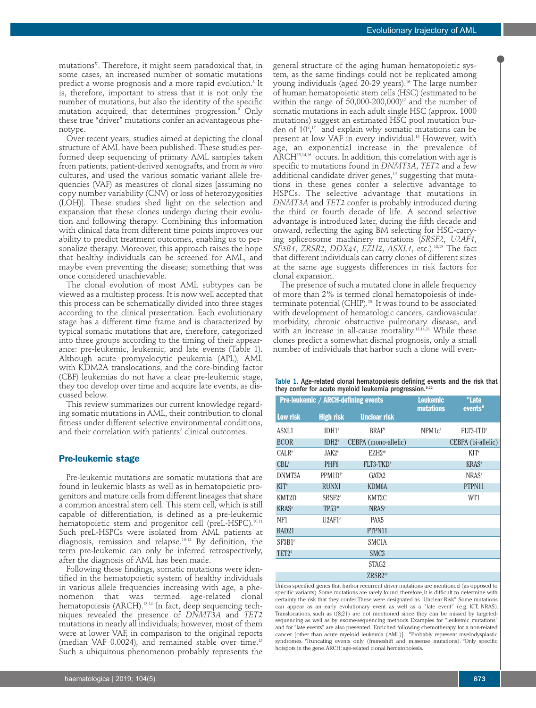mutations". Therefore, it might seem paradoxical that, in some cases, an increased number of somatic mutations predict a worse prognosis and a more rapid evolution.<sup>8</sup> It is, therefore, important to stress that it is not only the number of mutations, but also the identity of the specific mutation acquired, that determines progression.<sup>9</sup> Only these true "driver" mutations confer an advantageous phenotype.

Over recent years, studies aimed at depicting the clonal structure of AML have been published. These studies performed deep sequencing of primary AML samples taken from patients, patient-derived xenografts, and from *in vitro* cultures, and used the various somatic variant allele frequencies (VAF) as measures of clonal sizes [assuming no copy number variability (CNV) or loss of heterozygosities (LOH)]. These studies shed light on the selection and expansion that these clones undergo during their evolution and following therapy. Combining this information with clinical data from different time points improves our ability to predict treatment outcomes, enabling us to personalize therapy. Moreover, this approach raises the hope that healthy individuals can be screened for AML, and maybe even preventing the disease; something that was once considered unachievable.

The clonal evolution of most AML subtypes can be viewed as a multistep process. It is now well accepted that this process can be schematically divided into three stages according to the clinical presentation. Each evolutionary stage has a different time frame and is characterized by typical somatic mutations that are, therefore, categorized into three groups according to the timing of their appearance: pre-leukemic, leukemic, and late events (Table 1). Although acute promyelocytic peukemia (APL), AML with KDM2A translocations, and the core-binding factor (CBF) leukemias do not have a clear pre-leukemic stage, they too develop over time and acquire late events, as discussed below.

This review summarizes our current knowledge regarding somatic mutations in AML, their contribution to clonal fitness under different selective environmental conditions, and their correlation with patients' clinical outcomes.

## **Pre-leukemic stage**

Pre-leukemic mutations are somatic mutations that are found in leukemic blasts as well as in hematopoietic progenitors and mature cells from different lineages that share a common ancestral stem cell. This stem cell, which is still capable of differentiation, is defined as a pre-leukemic hematopoietic stem and progenitor cell (preL-HSPC).<sup>10,11</sup> Such preL-HSPCs were isolated from AML patients at diagnosis, remission and relapse.10-12 By definition, the term pre-leukemic can only be inferred retrospectively, after the diagnosis of AML has been made.

Following these findings, somatic mutations were identified in the hematopoietic system of healthy individuals in various allele frequencies increasing with age, a phenomenon that was termed age-related clonal hematopoiesis (ARCH).<sup>13,14</sup> In fact, deep sequencing techniques revealed the presence of *DNMT3A* and *TET2* mutations in nearly all individuals; however, most of them were at lower VAF, in comparison to the original reports (median VAF 0.0024), and remained stable over time.15 Such a ubiquitous phenomenon probably represents the

general structure of the aging human hematopoietic system, as the same findings could not be replicated among young individuals (aged 20-29 years).<sup>16</sup> The large number of human hematopoietic stem cells (HSC) (estimated to be within the range of  $50,000$ -200,000)<sup>17</sup> and the number of somatic mutations in each adult single HSC (approx. 1000 mutations) suggest an estimated HSC pool mutation burden of  $10^{8,17}$  and explain why somatic mutations can be present at low VAF in every individual.<sup>14</sup> However, with age, an exponential increase in the prevalence of ARCH<sup>13,14,16</sup> occurs. In addition, this correlation with age is specific to mutations found in *DNMT3A*, *TET2* and a few additional candidate driver genes,<sup>14</sup> suggesting that mutations in these genes confer a selective advantage to HSPCs. The selective advantage that mutations in *DNMT3A* and *TET2* confer is probably introduced during the third or fourth decade of life. A second selective advantage is introduced later, during the fifth decade and onward, reflecting the aging BM selecting for HSC-carrying spliceosome machinery mutations (*SRSF2*, *U2AF1*, *SF3B1*, *ZRSR2*, *DDX41*, *EZH2*, *ASXL1*, etc.).18,19 The fact that different individuals can carry clones of different sizes at the same age suggests differences in risk factors for clonal expansion.

The presence of such a mutated clone in allele frequency of more than 2% is termed clonal hematopoiesis of indeterminate potential (CHIP).<sup>20</sup> It was found to be associated with development of hematologic cancers, cardiovascular morbidity, chronic obstructive pulmonary disease, and with an increase in all-cause mortality.<sup>13,14,21</sup> While these clones predict a somewhat dismal prognosis, only a small number of individuals that harbor such a clone will even-

| Table 1. Age-related clonal hematopoiesis defining events and the risk that |  |
|-----------------------------------------------------------------------------|--|
| they confer for acute myeloid leukemia progression. <sup>9,22</sup>         |  |

| <b>Pre-leukemic / ARCH-defining events</b> |                                |                       | <b>Leukemic</b><br><b>mutations</b> | "Late<br>events"         |
|--------------------------------------------|--------------------------------|-----------------------|-------------------------------------|--------------------------|
| Low risk                                   | <b>High risk</b>               | <b>Unclear risk</b>   |                                     |                          |
| ASXL1                                      | IDH <sub>1</sub>               | BRAF <sup>*</sup>     | $NPM1c^*$                           | $FLT3-TTD^*$             |
| <b>BCOR</b>                                | $IDH2*$                        | CEBPA (mono-allelic)  |                                     | CEBPA (bi-allelic)       |
| CALR <sup>#</sup>                          | $JAK2$ <sup>*</sup>            | $EZH2^{\omega}$       |                                     | $KIT^*$                  |
| $CBL^*$                                    | PHF <sub>6</sub>               | FLT3-TKD <sup>*</sup> |                                     | <b>KRAS</b> <sup>*</sup> |
| DNMT3A                                     | $PPM1Ds*$                      | GATA2                 |                                     | NRAS <sup>#</sup>        |
| $KIT*$                                     | <b>RUNX1</b>                   | KDM <sub>6</sub> A    |                                     | PTPN11                   |
| KMT2D                                      | SRSF <sub>2</sub> <sup>*</sup> | KMT2C                 |                                     | WT1                      |
| <b>KRAS</b> <sup>#</sup>                   | TP53*                          | NRAS <sup>#</sup>     |                                     |                          |
| NF1                                        | $U2AF1*$                       | PAX <sub>5</sub>      |                                     |                          |
| RAD <sub>21</sub>                          |                                | PTPN11                |                                     |                          |
| SF3B1 <sup>*</sup>                         |                                | SMC <sub>1</sub> A    |                                     |                          |
| TET2 <sup>\$</sup>                         |                                | SMC <sub>3</sub>      |                                     |                          |
|                                            |                                | STAG2                 |                                     |                          |
|                                            |                                | ZRSR2 <sup>@</sup>    |                                     |                          |

Unless specified, genes that harbor recurrent driver mutations are mentioned (as opposed to specific variants). Some mutations are rarely found, therefore, it is difficult to determine with certainty the risk that they confer. These were designated as "Unclear Risk". Some mutations can appear as an early evolutionary event as well as a "late event" (e.g. KIT, NRAS). Translocations, such as t(8;21) are not mentioned since they can be missed by targetedsequencing as well as by exome-sequencing methods. Examples for "leukemic mutations" and for "late events" are also presented. \* Enriched following chemotherapy for a non-related cancer [other than acute myeloid leukemia (AML)]. @Probably represent myelodysplastic syndromes. <sup>\*</sup>Truncating events only (frameshift and missense mutations). <sup>\*</sup>Only specific hotspots in the gene. ARCH: age-related clonal hematopoiesis.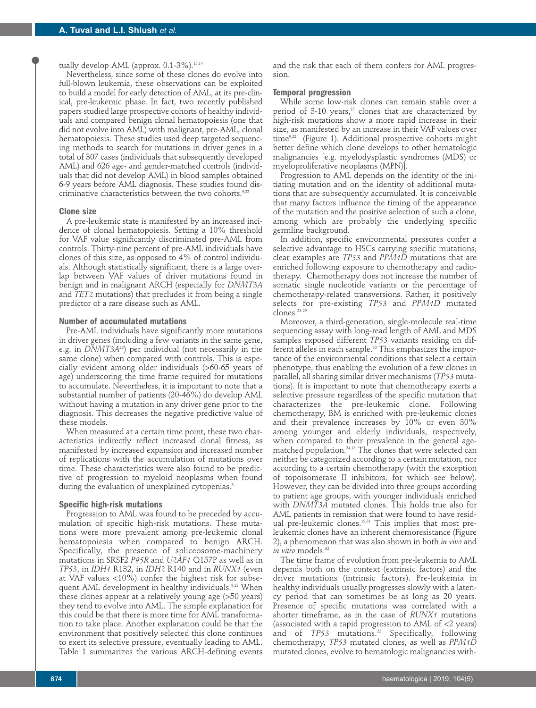## tually develop AML (approx. 0.1-3%).<sup>13,14</sup>

Nevertheless, since some of these clones do evolve into full-blown leukemia, these observations can be exploited to build a model for early detection of AML, at its pre-clinical, pre-leukemic phase. In fact, two recently published papers studied large prospective cohorts of healthy individuals and compared benign clonal hematopoiesis (one that did not evolve into AML) with malignant, pre-AML, clonal hematopoiesis. These studies used deep targeted sequencing methods to search for mutations in driver genes in a total of 307 cases (individuals that subsequently developed AML) and 626 age- and gender-matched controls (individuals that did not develop AML) in blood samples obtained 6-9 years before AML diagnosis. These studies found discriminative characteristics between the two cohorts.<sup>9,2</sup>

#### **Clone size**

A pre-leukemic state is manifested by an increased incidence of clonal hematopoiesis. Setting a 10% threshold for VAF value significantly discriminated pre-AML from controls. Thirty-nine percent of pre-AML individuals have clones of this size, as opposed to 4% of control individuals. Although statistically significant, there is a large overlap between VAF values of driver mutations found in benign and in malignant ARCH (especially for *DNMT3A* and *TET2* mutations) that precludes it from being a single predictor of a rare disease such as AML.

## **Number of accumulated mutations**

Pre-AML individuals have significantly more mutations in driver genes (including a few variants in the same gene, e.g. in *DNMT3A*22) per individual (not necessarily in the same clone) when compared with controls. This is especially evident among older individuals (>60-65 years of age) underscoring the time frame required for mutations to accumulate. Nevertheless, it is important to note that a substantial number of patients (20-46%) do develop AML without having a mutation in any driver gene prior to the diagnosis. This decreases the negative predictive value of these models.

When measured at a certain time point, these two characteristics indirectly reflect increased clonal fitness, as manifested by increased expansion and increased number of replications with the accumulation of mutations over time. These characteristics were also found to be predictive of progression to myeloid neoplasms when found during the evaluation of unexplained cytopenias.<sup>8</sup>

## **Specific high-risk mutations**

Progression to AML was found to be preceded by accumulation of specific high-risk mutations. These mutations were more prevalent among pre-leukemic clonal hematopoiesis when compared to benign ARCH. Specifically, the presence of spliceosome-machinery mutations in SRSF2 *P95R* and *U2AF1* Q157P as well as in *TP53*, in *IDH1* R132, in *IDH2* R140 and in *RUNX1* (even at VAF values <10%) confer the highest risk for subsequent AML development in healthy individuals.<sup>9,22</sup> When these clones appear at a relatively young age (>50 years) they tend to evolve into AML. The simple explanation for this could be that there is more time for AML transformation to take place. Another explanation could be that the environment that positively selected this clone continues to exert its selective pressure, eventually leading to AML. Table 1 summarizes the various ARCH-defining events

and the risk that each of them confers for AML progression.

#### **Temporal progression**

While some low-risk clones can remain stable over a period of 3-10 years,<sup>15</sup> clones that are characterized by high-risk mutations show a more rapid increase in their size, as manifested by an increase in their VAF values over time<sup>9,22</sup> (Figure 1). Additional prospective cohorts might better define which clone develops to other hematologic malignancies [e.g. myelodysplastic syndromes (MDS) or myeloproliferative neoplasms (MPN)].

Progression to AML depends on the identity of the initiating mutation and on the identity of additional mutations that are subsequently accumulated. It is conceivable that many factors influence the timing of the appearance of the mutation and the positive selection of such a clone, among which are probably the underlying specific germline background.

In addition, specific environmental pressures confer a selective advantage to HSCs carrying specific mutations; clear examples are *TP53* and *PPM1D* mutations that are enriched following exposure to chemotherapy and radiotherapy. Chemotherapy does not increase the number of somatic single nucleotide variants or the percentage of chemotherapy-related transversions. Rather, it positively selects for pre-existing *TP53* and *PPM1D* mutated clones.23-29

Moreover, a third-generation, single-molecule real-time sequencing assay with long-read length of AML and MDS samples exposed different *TP53* variants residing on different alleles in each sample.<sup>30</sup> This emphasizes the importance of the environmental conditions that select a certain phenotype, thus enabling the evolution of a few clones in parallel, all sharing similar driver mechanisms (*TP53* mutations). It is important to note that chemotherapy exerts a selective pressure regardless of the specific mutation that characterizes the pre-leukemic clone. Following chemotherapy, BM is enriched with pre-leukemic clones and their prevalence increases by 10% or even 30% among younger and elderly individuals, respectively, when compared to their prevalence in the general agematched population.24,13 The clones that were selected can neither be categorized according to a certain mutation, nor according to a certain chemotherapy (with the exception of topoisomerase II inhibitors, for which see below). However, they can be divided into three groups according to patient age groups, with younger individuals enriched with *DNMT3A* mutated clones. This holds true also for AML patients in remission that were found to have residual pre-leukemic clones.<sup>19,31</sup> This implies that most preleukemic clones have an inherent chemoresistance (Figure 2), a phenomenon that was also shown in both *in vivo* and *in vitro* models.<sup>32</sup>

The time frame of evolution from pre-leukemia to AML depends both on the context (extrinsic factors) and the driver mutations (intrinsic factors). Pre-leukemia in healthy individuals usually progresses slowly with a latency period that can sometimes be as long as 20 years. Presence of specific mutations was correlated with a shorter timeframe, as in the case of *RUNX1* mutations (associated with a rapid progression to AML of <2 years) and of *TP53* mutations.<sup>22</sup> Specifically, following chemotherapy, *TP53* mutated clones, as well as *PPM1D* mutated clones, evolve to hematologic malignancies with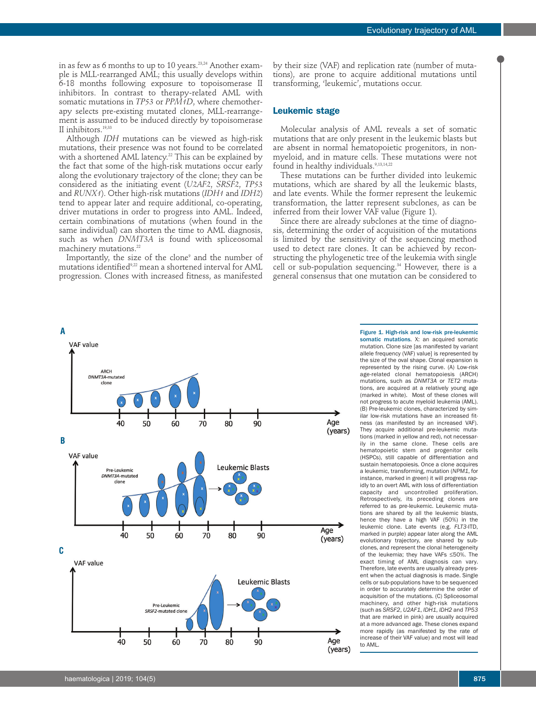in as few as 6 months to up to 10 years.<sup>23,24</sup> Another example is MLL-rearranged AML; this usually develops within 6-18 months following exposure to topoisomerase II inhibitors. In contrast to therapy-related AML with somatic mutations in *TP53* or *PPM1D*, where chemotherapy selects pre-existing mutated clones, MLL-rearrangement is assumed to be induced directly by topoisomerase II inhibitors.19,33

Although *IDH* mutations can be viewed as high-risk mutations, their presence was not found to be correlated with a shortened AML latency.<sup>22</sup> This can be explained by the fact that some of the high-risk mutations occur early along the evolutionary trajectory of the clone; they can be considered as the initiating event (*U2AF2*, *SRSF2*, *TP53* and *RUNX1*). Other high-risk mutations (*IDH1* and *IDH2*) tend to appear later and require additional, co-operating, driver mutations in order to progress into AML. Indeed, certain combinations of mutations (when found in the same individual) can shorten the time to AML diagnosis, such as when *DNMT3A* is found with spliceosomal machinery mutations.<sup>22</sup>

Importantly, the size of the clone<sup>9</sup> and the number of mutations identified9,22 mean a shortened interval for AML progression. Clones with increased fitness, as manifested

by their size (VAF) and replication rate (number of mutations), are prone to acquire additional mutations until transforming, 'leukemic', mutations occur.

## **Leukemic stage**

Molecular analysis of AML reveals a set of somatic mutations that are only present in the leukemic blasts but are absent in normal hematopoietic progenitors, in nonmyeloid, and in mature cells. These mutations were not found in healthy individuals.<sup>9,13,14,22</sup>

These mutations can be further divided into leukemic mutations, which are shared by all the leukemic blasts, and late events. While the former represent the leukemic transformation, the latter represent subclones, as can be inferred from their lower VAF value (Figure 1).

Since there are already subclones at the time of diagnosis, determining the order of acquisition of the mutations is limited by the sensitivity of the sequencing method used to detect rare clones. It can be achieved by reconstructing the phylogenetic tree of the leukemia with single cell or sub-population sequencing.<sup>34</sup> However, there is a general consensus that one mutation can be considered to



Figure 1. High-risk and low-risk pre-leukemic somatic mutations. X: an acquired somatic mutation. Clone size [as manifested by variant allele frequency (VAF) value] is represented by the size of the oval shape. Clonal expansion is represented by the rising curve. (A) Low-risk age-related clonal hematopoiesis (ARCH) mutations, such as *DNMT3A* or *TET2* mutations, are acquired at a relatively young age (marked in white). Most of these clones will not progress to acute myeloid leukemia (AML). (B) Pre-leukemic clones, characterized by similar low-risk mutations have an increased fitness (as manifested by an increased VAF). They acquire additional pre-leukemic mutations (marked in yellow and red), not necessarily in the same clone. These cells are hematopoietic stem and progenitor cells (HSPCs), still capable of differentiation and sustain hematopoiesis. Once a clone acquires a leukemic, transforming, mutation (*NPM1*, for instance, marked in green) it will progress rapidly to an overt AML with loss of differentiation capacity and uncontrolled proliferation. Retrospectively, its preceding clones are referred to as pre-leukemic. Leukemic mutations are shared by all the leukemic blasts, hence they have a high VAF (50%) in the leukemic clone. Late events (e.g. *FLT3*-ITD, marked in purple) appear later along the AML evolutionary trajectory, are shared by subclones, and represent the clonal heterogeneity of the leukemia; they have VAFs ≤50%. The exact timing of AML diagnosis can vary. Therefore, late events are usually already present when the actual diagnosis is made. Single cells or sub-populations have to be sequenced in order to accurately determine the order of acquisition of the mutations. (C) Spliceosomal machinery, and other high-risk mutations (such as *SRSF2*, *U2AF1*, *IDH1*, *IDH2* and *TP53* that are marked in pink) are usually acquired at a more advanced age. These clones expand more rapidly (as manifested by the rate of increase of their VAF value) and most will lead to AML.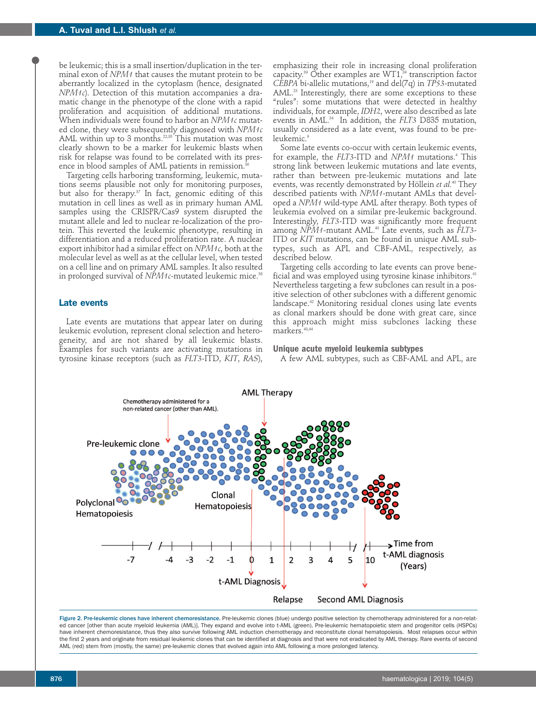be leukemic; this is a small insertion/duplication in the terminal exon of *NPM1* that causes the mutant protein to be aberrantly localized in the cytoplasm (hence, designated *NPM1c*). Detection of this mutation accompanies a dramatic change in the phenotype of the clone with a rapid proliferation and acquisition of additional mutations. When individuals were found to harbor an *NPM1c* mutated clone, they were subsequently diagnosed with *NPM1c* AML within up to 3 months.<sup>22,35</sup> This mutation was most clearly shown to be a marker for leukemic blasts when risk for relapse was found to be correlated with its presence in blood samples of AML patients in remission.<sup>36</sup>

Targeting cells harboring transforming, leukemic, mutations seems plausible not only for monitoring purposes, but also for therapy.<sup>37</sup> In fact, genomic editing of this mutation in cell lines as well as in primary human AML samples using the CRISPR/Cas9 system disrupted the mutant allele and led to nuclear re-localization of the protein. This reverted the leukemic phenotype, resulting in differentiation and a reduced proliferation rate. A nuclear export inhibitor had a similar effect on *NPM1c*, both at the molecular level as well as at the cellular level, when tested on a cell line and on primary AML samples. It also resulted in prolonged survival of *NPM1c*-mutated leukemic mice.38

## **Late events**

Late events are mutations that appear later on during leukemic evolution, represent clonal selection and heterogeneity, and are not shared by all leukemic blasts. Examples for such variants are activating mutations in tyrosine kinase receptors (such as *FLT3*-ITD, *KIT*, *RAS*),

emphasizing their role in increasing clonal proliferation capacity. $39$  Other examples are WT1, $39$  transcription factor *CEBPA* bi-allelic mutations,<sup>19</sup> and del(7q) in *TP53*-mutated AML.<sup>23</sup> Interestingly, there are some exceptions to these "rules": some mutations that were detected in healthy individuals, for example, *IDH2*, were also described as late events in AML.34 In addition, the *FLT3* D835 mutation, usually considered as a late event, was found to be preleukemic.<sup>9</sup>

Some late events co-occur with certain leukemic events, for example, the *FLT3*-ITD and *NPM1* mutations.4 This strong link between leukemic mutations and late events, rather than between pre-leukemic mutations and late events, was recently demonstrated by Höllein *et al.*<sup>40</sup> They described patients with *NPM1*-mutant AMLs that developed a *NPM1* wild-type AML after therapy. Both types of leukemia evolved on a similar pre-leukemic background. Interestingly, *FLT3-*ITD was significantly more frequent among *NPM1-*mutant AML.40 Late events, such as *FLT3*- ITD or *KIT* mutations, can be found in unique AML subtypes, such as APL and CBF-AML, respectively, as described below.

Targeting cells according to late events can prove beneficial and was employed using tyrosine kinase inhibitors.<sup>41</sup> Nevertheless targeting a few subclones can result in a positive selection of other subclones with a different genomic landscape.42 Monitoring residual clones using late events as clonal markers should be done with great care, since this approach might miss subclones lacking these markers.<sup>43,44</sup>

#### **Unique acute myeloid leukemia subtypes**

A few AML subtypes, such as CBF-AML and APL, are



Figure 2. Pre-leukemic clones have inherent chemoresistance. Pre-leukemic clones (blue) undergo positive selection by chemotherapy administered for a non-related cancer [other than acute myeloid leukemia (AML)]. They expand and evolve into t-AML (green). Pre-leukemic hematopoietic stem and progenitor cells (HSPCs) have inherent chemoresistance, thus they also survive following AML induction chemotherapy and reconstitute clonal hematopoiesis. Most relapses occur within the first 2 years and originate from residual leukemic clones that can be identified at diagnosis and that were not eradicated by AML therapy. Rare events of second AML (red) stem from (mostly, the same) pre-leukemic clones that evolved again into AML following a more prolonged latency.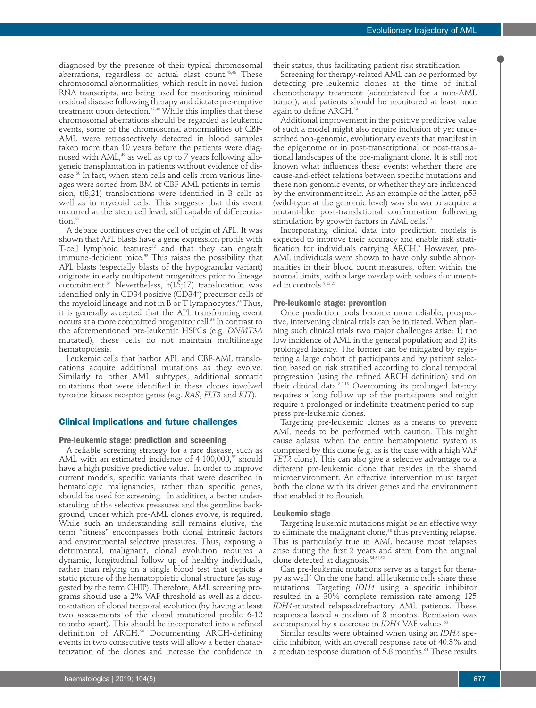diagnosed by the presence of their typical chromosomal aberrations, regardless of actual blast count.<sup>45,46</sup> These chromosomal abnormalities, which result in novel fusion RNA transcripts, are being used for monitoring minimal residual disease following therapy and dictate pre-emptive treatment upon detection.<sup>47,48</sup> While this implies that these chromosomal aberrations should be regarded as leukemic events, some of the chromosomal abnormalities of CBF-AML were retrospectively detected in blood samples taken more than 10 years before the patients were diagnosed with AML,<sup>49</sup> as well as up to 7 years following allogeneic transplantation in patients without evidence of disease.50 In fact, when stem cells and cells from various lineages were sorted from BM of CBF-AML patients in remission, t(8;21) translocations were identified in B cells as well as in myeloid cells. This suggests that this event occurred at the stem cell level, still capable of differentiation. $51$ 

A debate continues over the cell of origin of APL. It was shown that APL blasts have a gene expression profile with T-cell lymphoid features $52$  and that they can engraft immune-deficient mice.53 This raises the possibility that APL blasts (especially blasts of the hypogranular variant) originate in early multipotent progenitors prior to lineage commitment.<sup>54</sup> Nevertheless,  $t(15,17)$  translocation was identified only in CD34 positive (CD34†) precursor cells of the myeloid lineage and not in B or T lymphocytes.<sup>55</sup> Thus, it is generally accepted that the APL transforming event occurs at a more committed progenitor cell.<sup>56</sup> In contrast to the aforementioned pre-leukemic HSPCs (e.g. *DNMT3A* mutated), these cells do not maintain multilineage hematopoiesis.

Leukemic cells that harbor APL and CBF-AML translocations acquire additional mutations as they evolve. Similarly to other AML subtypes, additional somatic mutations that were identified in these clones involved tyrosine kinase receptor genes (e.g. *RAS*, *FLT3* and *KIT*).

## **Clinical implications and future challenges**

#### **Pre-leukemic stage: prediction and screening**

A reliable screening strategy for a rare disease, such as AML with an estimated incidence of  $4:100,000$ ,  $57$  should have a high positive predictive value. In order to improve current models, specific variants that were described in hematologic malignancies, rather than specific genes, should be used for screening. In addition, a better understanding of the selective pressures and the germline background, under which pre-AML clones evolve, is required. While such an understanding still remains elusive, the term "fitness" encompasses both clonal intrinsic factors and environmental selective pressures. Thus, exposing a detrimental, malignant, clonal evolution requires a dynamic, longitudinal follow up of healthy individuals, rather than relying on a single blood test that depicts a static picture of the hematopoietic clonal structure (as suggested by the term CHIP). Therefore, AML screening programs should use a 2% VAF threshold as well as a documentation of clonal temporal evolution (by having at least two assessments of the clonal mutational profile 6-12 months apart). This should be incorporated into a refined definition of ARCH.58 Documenting ARCH-defining events in two consecutive tests will allow a better characterization of the clones and increase the confidence in

their status, thus facilitating patient risk stratification.

Screening for therapy-related AML can be performed by detecting pre-leukemic clones at the time of initial chemotherapy treatment (administered for a non-AML tumor), and patients should be monitored at least once again to define ARCH.<sup>59</sup>

Additional improvement in the positive predictive value of such a model might also require inclusion of yet undescribed non-genomic, evolutionary events that manifest in the epigenome or in post-transcriptional or post-translational landscapes of the pre-malignant clone. It is still not known what influences these events: whether there are cause-and-effect relations between specific mutations and these non-genomic events, or whether they are influenced by the environment itself. As an example of the latter, p53 (wild-type at the genomic level) was shown to acquire a mutant-like post-translational conformation following stimulation by growth factors in AML cells.<sup>60</sup>

Incorporating clinical data into prediction models is expected to improve their accuracy and enable risk stratification for individuals carrying ARCH.<sup>9</sup> However, pre-AML individuals were shown to have only subtle abnormalities in their blood count measures, often within the normal limits, with a large overlap with values documented in controls.<sup>9,13,21</sup>

#### **Pre-leukemic stage: prevention**

Once prediction tools become more reliable, prospective, intervening clinical trials can be initiated. When planning such clinical trials two major challenges arise: 1) the low incidence of AML in the general population; and 2) its prolonged latency. The former can be mitigated by registering a large cohort of participants and by patient selection based on risk stratified according to clonal temporal progression (using the refined ARCH definition) and on their clinical data.<sup>8,9,13</sup> Overcoming its prolonged latency requires a long follow up of the participants and might require a prolonged or indefinite treatment period to suppress pre-leukemic clones.

Targeting pre-leukemic clones as a means to prevent AML needs to be performed with caution. This might cause aplasia when the entire hematopoietic system is comprised by this clone (e.g. as is the case with a high VAF *TET2* clone). This can also give a selective advantage to a different pre-leukemic clone that resides in the shared microenvironment. An effective intervention must target both the clone with its driver genes and the environment that enabled it to flourish.

### **Leukemic stage**

Targeting leukemic mutations might be an effective way to eliminate the malignant clone,<sup>38</sup> thus preventing relapse. This is particularly true in AML because most relapses arise during the first 2 years and stem from the original clone detected at diagnosis.<sup>34,61,62</sup>

Can pre-leukemic mutations serve as a target for therapy as well? On the one hand, all leukemic cells share these mutations. Targeting *IDH1* using a specific inhibitor resulted in a 30% complete remission rate among 125 *IDH1*-mutated relapsed/refractory AML patients. These responses lasted a median of 8 months. Remission was accompanied by a decrease in *IDH1* VAF values.<sup>63</sup>

Similar results were obtained when using an *IDH2* specific inhibitor, with an overall response rate of 40.3% and a median response duration of 5.8 months.<sup>64</sup> These results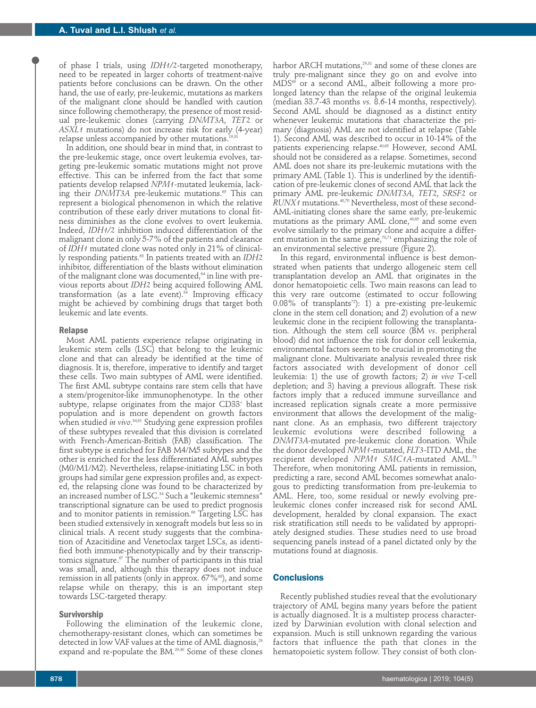of phase I trials, using *IDH1/2-*targeted monotherapy, need to be repeated in larger cohorts of treatment-naïve patients before conclusions can be drawn. On the other hand, the use of early, pre-leukemic, mutations as markers of the malignant clone should be handled with caution since following chemotherapy, the presence of most residual pre-leukemic clones (carrying *DNMT3A*, *TET2* or *ASXL1* mutations) do not increase risk for early (4-year) relapse unless accompanied by other mutations.<sup>19,31</sup>

In addition, one should bear in mind that, in contrast to the pre-leukemic stage, once overt leukemia evolves, targeting pre-leukemic somatic mutations might not prove effective. This can be inferred from the fact that some patients develop relapsed *NPM1-*mutated leukemia, lacking their *DNMT3A* pre-leukemic mutations.<sup>65</sup> This can represent a biological phenomenon in which the relative contribution of these early driver mutations to clonal fitness diminishes as the clone evolves to overt leukemia. Indeed, *IDH1/2* inhibition induced differentiation of the malignant clone in only 5-7% of the patients and clearance of *IDH1* mutated clone was noted only in 21% of clinically responding patients.<sup>63</sup> In patients treated with an *IDH2* inhibitor, differentiation of the blasts without elimination of the malignant clone was documented, $64$  in line with previous reports about *IDH2* being acquired following AML transformation (as a late event). $34$  Improving efficacy might be achieved by combining drugs that target both leukemic and late events.

#### **Relapse**

Most AML patients experience relapse originating in leukemic stem cells (LSC) that belong to the leukemic clone and that can already be identified at the time of diagnosis. It is, therefore, imperative to identify and target these cells. Two main subtypes of AML were identified. The first AML subtype contains rare stem cells that have a stem/progenitor-like immunophenotype. In the other subtype, relapse originates from the major CD33+ blast population and is more dependent on growth factors when studied *in vivo*. 34,61 Studying gene expression profiles of these subtypes revealed that this division is correlated with French-American-British (FAB) classification. The first subtype is enriched for FAB M4/M5 subtypes and the other is enriched for the less differentiated AML subtypes (M0/M1/M2). Nevertheless, relapse-initiating LSC in both groups had similar gene expression profiles and, as expected, the relapsing clone was found to be characterized by an increased number of LSC.<sup>34</sup> Such a "leukemic stemness" transcriptional signature can be used to predict prognosis and to monitor patients in remission.<sup>66</sup> Targeting LSC has been studied extensively in xenograft models but less so in clinical trials. A recent study suggests that the combination of Azacitidine and Venetoclax target LSCs, as identified both immune-phenotypically and by their transcriptomics signature. $\sigma$  The number of participants in this trial was small, and, although this therapy does not induce remission in all patients (only in approx.  $67\%$ <sup>68</sup>), and some relapse while on therapy, this is an important step towards LSC-targeted therapy.

#### **Survivorship**

Following the elimination of the leukemic clone, chemotherapy-resistant clones, which can sometimes be detected in low VAF values at the time of AML diagnosis,<sup>29</sup> expand and re-populate the BM.<sup>29,40</sup> Some of these clones

harbor ARCH mutations,<sup>29,31</sup> and some of these clones are truly pre-malignant since they go on and evolve into  $MDS^{69}$  or a second AML, albeit following a more prolonged latency than the relapse of the original leukemia (median 33.7-43 months *vs.* 8.6-14 months, respectively). Second AML should be diagnosed as a distinct entity whenever leukemic mutations that characterize the primary (diagnosis) AML are not identified at relapse (Table 1). Second AML was described to occur in 10-14% of the patients experiencing relapse.40,65 However, second AML should not be considered as a relapse. Sometimes, second AML does not share its pre-leukemic mutations with the primary AML (Table 1). This is underlined by the identification of pre-leukemic clones of second AML that lack the primary AML pre-leukemic *DNMT3A*, *TET2*, *SRSF2* or *RUNX1* mutations.40,70 Nevertheless, most of these second-AML-initiating clones share the same early, pre-leukemic mutations as the primary AML clone, $40,65$  and some even evolve similarly to the primary clone and acquire a different mutation in the same gene, $70,71$  emphasizing the role of an environmental selective pressure (Figure 2).

In this regard, environmental influence is best demonstrated when patients that undergo allogeneic stem cell transplantation develop an AML that originates in the donor hematopoietic cells. Two main reasons can lead to this very rare outcome (estimated to occur following 0.08% of transplants<sup>72</sup>): 1) a pre-existing pre-leukemic clone in the stem cell donation; and 2) evolution of a new leukemic clone in the recipient following the transplantation. Although the stem cell source (BM *vs*. peripheral blood) did not influence the risk for donor cell leukemia, environmental factors seem to be crucial in promoting the malignant clone. Multivariate analysis revealed three risk factors associated with development of donor cell leukemia: 1) the use of growth factors; 2) *in vivo* T-cell depletion; and 3) having a previous allograft. These risk factors imply that a reduced immune surveillance and increased replication signals create a more permissive environment that allows the development of the malignant clone. As an emphasis, two different trajectory leukemic evolutions were described following a *DNMT3A*-mutated pre-leukemic clone donation. While the donor developed *NPM1*-mutated, *FLT3-*ITD AML, the recipient developed *NPM1 SMC1A-*mutated AML.73 Therefore, when monitoring AML patients in remission, predicting a rare, second AML becomes somewhat analogous to predicting transformation from pre-leukemia to AML. Here, too, some residual or newly evolving preleukemic clones confer increased risk for second AML development, heralded by clonal expansion. The exact risk stratification still needs to be validated by appropriately designed studies. These studies need to use broad sequencing panels instead of a panel dictated only by the mutations found at diagnosis.

# **Conclusions**

Recently published studies reveal that the evolutionary trajectory of AML begins many years before the patient is actually diagnosed. It is a multistep process characterized by Darwinian evolution with clonal selection and expansion. Much is still unknown regarding the various factors that influence the path that clones in the hematopoietic system follow. They consist of both clon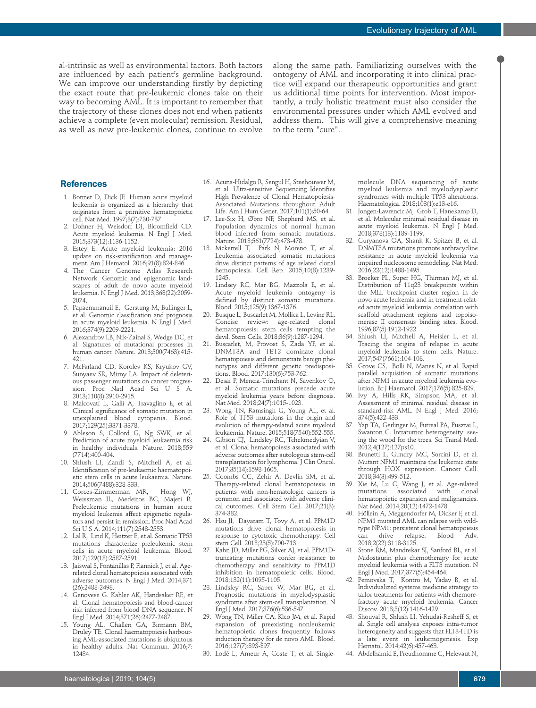al-intrinsic as well as environmental factors. Both factors are influenced by each patient's germline background. We can improve our understanding firstly by depicting the exact route that pre-leukemic clones take on their way to becoming AML. It is important to remember that the trajectory of these clones does not end when patients achieve a complete (even molecular) remission. Residual, as well as new pre-leukemic clones, continue to evolve

along the same path. Familiarizing ourselves with the ontogeny of AML and incorporating it into clinical practice will expand our therapeutic opportunities and grant us additional time points for intervention. Most importantly, a truly holistic treatment must also consider the environmental pressures under which AML evolved and address them. This will give a comprehensive meaning to the term "cure".

## **References**

- 1. Bonnet D, Dick JE. Human acute myeloid leukemia is organized as a hierarchy that originates from a primitive hematopoietic cell. Nat Med. 1997;3(7):730-737.
- 2. Dohner H, Weisdorf DJ, Bloomfield CD. Acute myeloid leukemia. N Engl J Med. 2015;373(12):1136-1152.
- 3. Estey E. Acute myeloid leukemia: 2016 update on risk-stratification and management. Am J Hematol. 2016;91(8):824-846.
- 4. The Cancer Genome Atlas Research Network. Genomic and epigenomic landscapes of adult de novo acute myeloid leukemia. N Engl J Med. 2013;368(22):2059- 2074.
- 5. Papaemmanuil E, Gerstung M, Bullinger L, et al. Genomic classification and prognosis in acute myeloid leukemia. N Engl J Med. 2016;374(9):2209-2221.
- 6. Alexandrov LB, Nik-Zainal S, Wedge DC, et al. Signatures of mutational processes in human cancer. Nature. 2013;500(7463):415- 421.
- 7. McFarland CD, Korolev KS, Kryukov GV, Sunyaev SR, Mirny LA. Impact of deleterious passenger mutations on cancer progression. Proc Natl Acad Sci U S A. 2013;110(8):2910-2915.
- 8. Malcovati L, Gallì A, Travaglino E, et al. Clinical significance of somatic mutation in unexplained blood cytopenia. Blood. 2017;129(25):3371-3378.
- 9. Ableson S, Collord G, Ng SWK, et al. Prediction of acute myeloid leukaemia risk in healthy individuals. Nature. 2018;559 (7714):400-404.
- 10. Shlush LI, Zandi S, Mitchell A, et al. Identification of pre-leukaemic haematopoietic stem cells in acute leukaemia. Nature. 2014;506(7488):328-333.
- 11. Corces-Zimmerman MR, Hong WJ, Weissman IL, Medeiros BC, Majeti R. Preleukemic mutations in human acute myeloid leukemia affect epigenetic regulators and persist in remission. Proc Natl Acad Sci U S A. 2014;111(7):2548-2553.
- 12. Lal R, Lind K, Heitzer E, et al. Somatic TP53 mutations characterize preleukemic stem cells in acute myeloid leukemia. Blood. 2017;129(18):2587-2591.
- 13. Jaiswal S, Fontanillas P, Flannick J, et al. Agerelated clonal hematopoiesis associated with adverse outcomes. N Engl J Med. 2014;371 (26):2488-2498.
- 14. Genovese G. Kähler AK, Handsaker RE, et al. Clonal hematopoiesis and blood-cancer risk inferred from blood DNA sequence. N Engl J Med. 2014;371(26):2477-2487.
- 15. Young AL, Challen GA, Birmann BM, Druley TE. Clonal haematopoiesis harbouring AML-associated mutations is ubiquitous in healthy adults. Nat Commun. 2016;7: 12484.
- 16. Acuna-Hidalgo R, Sengul H, Steehouwer M, et al. Ultra-sensitive Sequencing Identifies High Prevalence of Clonal Hematopoiesis-Associated Mutations throughout Adult Life. Am J Hum Genet. 2017;101(1):50-64.
- 17. Lee-Six H, Øbro NF, Shepherd MS, et al. Population dynamics of normal human blood inferred from somatic mutations. Nature. 2018;561(7724):473-478.
- 18. Mckerrell T, Park N, Moreno T, et al. Leukemia associated somatic mutations drive distinct patterns of age related clonal hemopoiesis. Cell Rep. 2015;10(8):1239- 1245.
- 19. Lindsey RC, Mar BG, Mazzola E, et al. Acute myeloid leukemia ontogeny is defined by distinct somatic mutations. Blood. 2015;125(9):1367-1376.
- 20. Busque L, Buscarlet M, Mollica L, Levine RL. Concise review: age-related clonal hematopoiesis: stem cells tempting the devil. Stem Cells. 2018;36(9):1287-1294.
- 21. Buscarlet, M, Provost S, Zada YF, et al. DNMT3A and TET2 dominate clonal hematopoiesis and demonstrate benign phenotypes and different genetic predispositions. Blood. 2017;130(6):753-762.
- 22. Desai P, Mencia-Trinchant N, Savenkov O, et al. Somatic mutations precede acute myeloid leukemia years before diagnosis. Nat Med. 2018;24(7):1015-1023.
- 23. Wong TN, Ramsingh G, Young AL, et al. Role of TP53 mutations in the origin and evolution of therapy-related acute myeloid leukaemia. Nature. 2015;518(7540):552-555.
- 24. Gibson CJ, Lindsley RC, Tchekmedyian V, et al. Clonal hematopoiesis associated with adverse outcomes after autologous stem-cell transplantation for lymphoma. J Clin Oncol. 2017;35(14):1598-1605.
- 25. Coombs CC, Zehir A, Devlin SM, et al. Therapy-related clonal hematopoiesis in patients with non-hematologic cancers is common and associated with adverse clinical outcomes. Cell Stem Cell. 2017;21(3): 374-382.
- 26. Hsu JI, Dayaram T, Tovy A, et al. PPM1D mutations drive clonal hematopoiesis in response to cytotoxic chemotherapy. Cell stem Cell. 2018;23(5):700-713.
- 27. Kahn JD, Miller PG, Silver AJ, et al. PPM1Dtruncating mutations confer resistance to chemotherapy and sensitivity to PPM1D inhibition in hematopoietic cells. Blood. 2018;132(11):1095-1105.
- 28. Lindsley RC, Saber W, Mar BG, et al. Prognostic mutations in myelodysplastic syndrome after stem-cell transplantation. N Engl J Med. 2017;376(6):536-547.
- 29. Wong TN, Miller CA, Klco JM, et al. Rapid expansion of preexisting nonleukemic hematopoietic clones frequently follows induction therapy for de novo AML. Blood. 2016;127(7):893-897.
- 30. Lodé L, Ameur A, Coste T, et al. Single-

molecule DNA sequencing of acute myeloid leukemia and myelodysplastic syndromes with multiple TP53 alterations. Haematologica. 2018;103(1):e13-e16.

- 31. Jongen-Lavrencic M, Grob T, Hanekamp D, et al. Molecular minimal residual disease in acute myeloid leukemia. N Engl J Med. 2018;378(13):1189-1199.
- 32. Guryanova OA, Shank K, Spitzer B, et al. DNMT3A mutations promote anthracycline resistance in acute myeloid leukemia via impaired nucleosome remodeling. Nat Med. 2016;22(12):1488-1495.
- Broeker PL, Super HG, Thirman MJ, et al. Distribution of 11q23 breakpoints within the MLL breakpoint cluster region in de novo acute leukemia and in treatment-related acute myeloid leukemia: correlation with scaffold attachment regions and topoisomerase II consensus binding sites. Blood. 1996;87(5):1912-1922.
- 34. Shlush LI, Mitchell A, Heisler L, et al. Tracing the origins of relapse in acute myeloid leukemia to stem cells. Nature. 2017;547(7661):104-108.
- 35. Grove CS, Bolli N, Manes N, et al. Rapid parallel acquisition of somatic mutations after NPM1 in acute myeloid leukemia evolution. Br J Haematol. 2017;176(5):825-829.
- 36. Ivy A, Hills RK, Simpson MA, et al. Assessment of minimal residual disease in standard-risk AML. N Engl J Med. 2016; 374(5):422-433.
- 37. Yap TA, Gerlinger M, Futreal PA, Pusztai L, Swanton C. Intratumor heterogeneity: seeing the wood for the trees. Sci Transl Med. 2012;4(127):127ps10.
- 38. Brunetti L, Gundry MC, Sorcini D, et al. Mutant NPM1 maintains the leukemic state through HOX expression. Cancer Cell. 2018;34(3):499-512.
- 39. Xie M, Lu C, Wang J, et al. Age-related mutations associated with clonal hematopoietic expansion and malignancies. Nat Med. 2014;20(12):1472-1478.
- 40. Höllein A, Meggendorfer M, Dicker F, et al. NPM1 mutated AML can relapse with wildtype NPM1: persistent clonal hematopoiesis<br>can drive relapse. Blood Adv. can drive relapse. 2018;2(22):3118-3125.
- 41. Stone RM, Mandrekar SJ, Sanford BL, et al. Midostaurin plus chemotherapy for acute myeloid leukemia with a FLT3 mutation. N Engl J Med. 2017;377(5):454-464.
- 42. Pemovska T, Kontro M, Yadav B, et al. Individualized systems medicine strategy to tailor treatments for patients with chemorefractory acute myeloid leukemia. Cancer Discov. 2013;3(12):1416-1429.
- 43. Shouval R, Shlush LI, Yehudai-Resheff S, et al. Single cell analysis exposes intra-tumor heterogeneity and suggests that FLT3-ITD is a late event in leukemogenesis. Exp Hematol. 2014;42(6):457-463.
- 44. Abdelhamid E, Preudhomme C, Helevaut N,